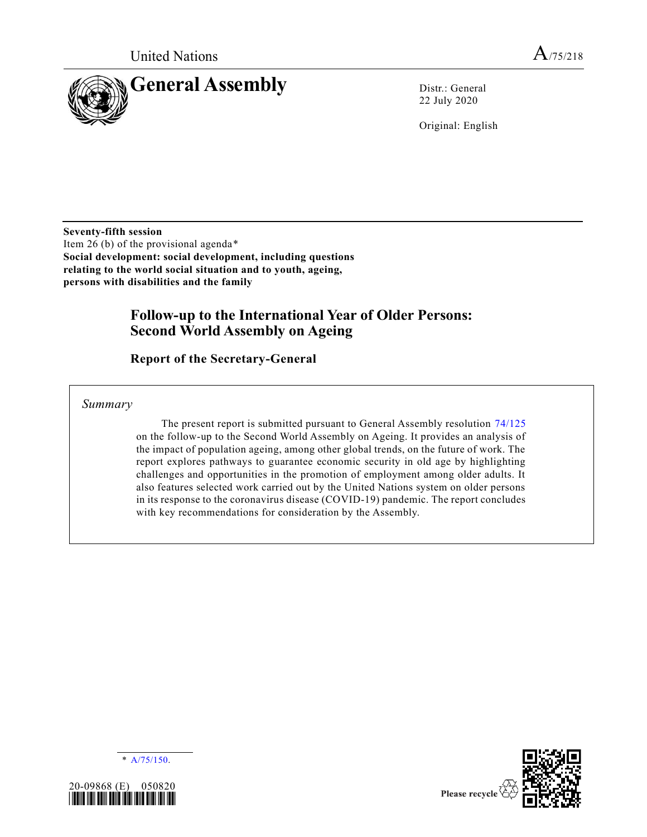

22 July 2020

Original: English

**Seventy-fifth session** Item 26 (b) of the provisional agenda\* **Social development: social development, including questions relating to the world social situation and to youth, ageing, persons with disabilities and the family**

# **Follow-up to the International Year of Older Persons: Second World Assembly on Ageing**

**Report of the Secretary-General** 

*Summary*

The present report is submitted pursuant to General Assembly resolution [74/125](https://undocs.org/en/A/RES/74/125) on the follow-up to the Second World Assembly on Ageing. It provides an analysis of the impact of population ageing, among other global trends, on the future of work. The report explores pathways to guarantee economic security in old age by highlighting challenges and opportunities in the promotion of employment among older adults. It also features selected work carried out by the United Nations system on older persons in its response to the coronavirus disease (COVID-19) pandemic. The report concludes with key recommendations for consideration by the Assembly.





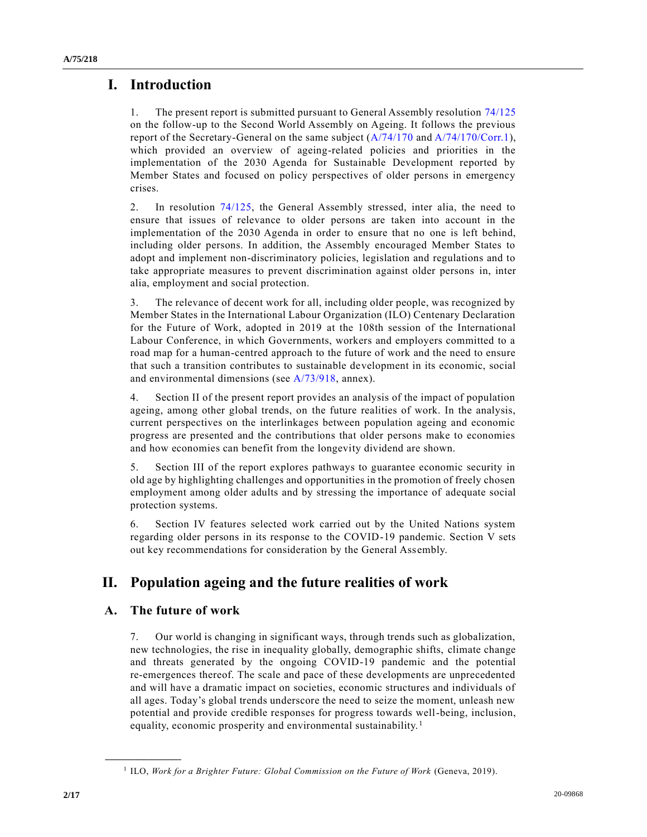# **I. Introduction**

1. The present report is submitted pursuant to General Assembly resolution [74/125](https://undocs.org/en/A/RES/74/125) on the follow-up to the Second World Assembly on Ageing. It follows the previous report of the Secretary-General on the same subject [\(A/74/170](https://undocs.org/en/A/74/170) an[d A/74/170/Corr.1\)](https://undocs.org/en/A/74/170/Corr.1), which provided an overview of ageing-related policies and priorities in the implementation of the 2030 Agenda for Sustainable Development reported by Member States and focused on policy perspectives of older persons in emergency crises.

2. In resolution [74/125,](https://undocs.org/en/A/RES/74/125) the General Assembly stressed, inter alia, the need to ensure that issues of relevance to older persons are taken into account in the implementation of the 2030 Agenda in order to ensure that no one is left behind, including older persons. In addition, the Assembly encouraged Member States to adopt and implement non-discriminatory policies, legislation and regulations and to take appropriate measures to prevent discrimination against older persons in, inter alia, employment and social protection.

3. The relevance of decent work for all, including older people, was recognized by Member States in the International Labour Organization (ILO) Centenary Declaration for the Future of Work, adopted in 2019 at the 108th session of the International Labour Conference, in which Governments, workers and employers committed to a road map for a human-centred approach to the future of work and the need to ensure that such a transition contributes to sustainable development in its economic, social and environmental dimensions (see [A/73/918,](https://undocs.org/en/A/73/918) annex).

4. Section II of the present report provides an analysis of the impact of population ageing, among other global trends, on the future realities of work. In the analysis, current perspectives on the interlinkages between population ageing and economic progress are presented and the contributions that older persons make to economies and how economies can benefit from the longevity dividend are shown.

5. Section III of the report explores pathways to guarantee economic security in old age by highlighting challenges and opportunities in the promotion of freely chosen employment among older adults and by stressing the importance of adequate social protection systems.

6. Section IV features selected work carried out by the United Nations system regarding older persons in its response to the COVID-19 pandemic. Section V sets out key recommendations for consideration by the General Assembly.

# **II. Population ageing and the future realities of work**

### **A. The future of work**

**\_\_\_\_\_\_\_\_\_\_\_\_\_\_\_\_\_\_**

7. Our world is changing in significant ways, through trends such as globalization, new technologies, the rise in inequality globally, demographic shifts, climate change and threats generated by the ongoing COVID-19 pandemic and the potential re-emergences thereof. The scale and pace of these developments are unprecedented and will have a dramatic impact on societies, economic structures and individuals of all ages. Today's global trends underscore the need to seize the moment, unleash new potential and provide credible responses for progress towards well-being, inclusion, equality, economic prosperity and environmental sustainability.<sup>1</sup>

<sup>&</sup>lt;sup>1</sup> ILO, *Work for a Brighter Future: Global Commission on the Future of Work* (Geneva, 2019).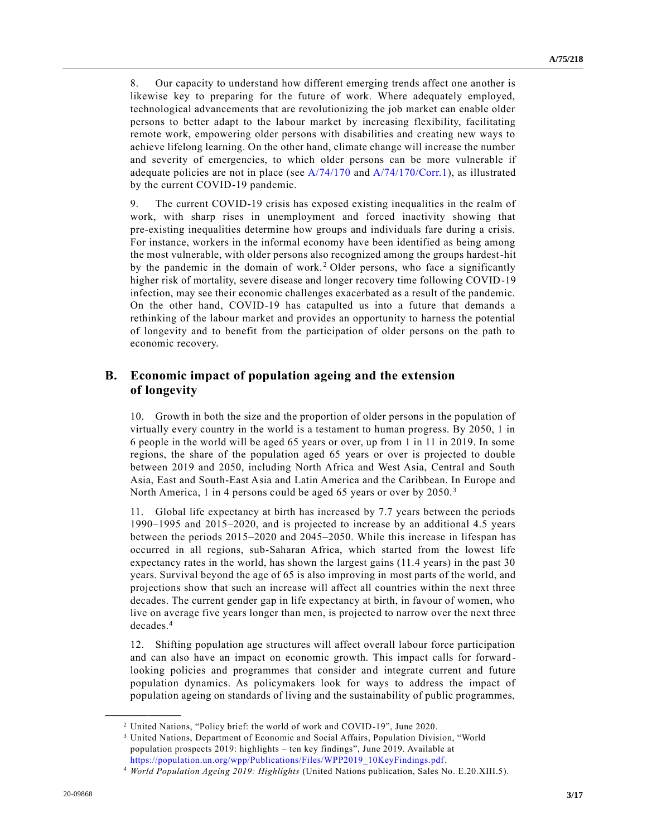8. Our capacity to understand how different emerging trends affect one another is likewise key to preparing for the future of work. Where adequately employed, technological advancements that are revolutionizing the job market can enable older persons to better adapt to the labour market by increasing flexibility, facilitating remote work, empowering older persons with disabilities and creating new ways to achieve lifelong learning. On the other hand, climate change will increase the number and severity of emergencies, to which older persons can be more vulnerable if adequate policies are not in place (see  $A/74/170$  and  $A/74/170/Corr.1$ ), as illustrated by the current COVID-19 pandemic.

9. The current COVID-19 crisis has exposed existing inequalities in the realm of work, with sharp rises in unemployment and forced inactivity showing that pre-existing inequalities determine how groups and individuals fare during a crisis. For instance, workers in the informal economy have been identified as being among the most vulnerable, with older persons also recognized among the groups hardest-hit by the pandemic in the domain of work.<sup>2</sup> Older persons, who face a significantly higher risk of mortality, severe disease and longer recovery time following COVID-19 infection, may see their economic challenges exacerbated as a result of the pandemic. On the other hand, COVID-19 has catapulted us into a future that demands a rethinking of the labour market and provides an opportunity to harness the potential of longevity and to benefit from the participation of older persons on the path to economic recovery.

### **B. Economic impact of population ageing and the extension of longevity**

10. Growth in both the size and the proportion of older persons in the population of virtually every country in the world is a testament to human progress. By 2050, 1 in 6 people in the world will be aged 65 years or over, up from 1 in 11 in 2019. In some regions, the share of the population aged 65 years or over is projected to double between 2019 and 2050, including North Africa and West Asia, Central and South Asia, East and South-East Asia and Latin America and the Caribbean. In Europe and North America, 1 in 4 persons could be aged 65 years or over by 2050. <sup>3</sup>

11. Global life expectancy at birth has increased by 7.7 years between the periods 1990–1995 and 2015–2020, and is projected to increase by an additional 4.5 years between the periods 2015–2020 and 2045–2050. While this increase in lifespan has occurred in all regions, sub-Saharan Africa, which started from the lowest life expectancy rates in the world, has shown the largest gains (11.4 years) in the past 30 years. Survival beyond the age of 65 is also improving in most parts of the world, and projections show that such an increase will affect all countries within the next three decades. The current gender gap in life expectancy at birth, in favour of women, who live on average five years longer than men, is projected to narrow over the next three decades.<sup>4</sup>

12. Shifting population age structures will affect overall labour force participation and can also have an impact on economic growth. This impact calls for forward looking policies and programmes that consider and integrate current and future population dynamics. As policymakers look for ways to address the impact of population ageing on standards of living and the sustainability of public programmes,

<sup>2</sup> United Nations, "Policy brief: the world of work and COVID-19", June 2020.

<sup>3</sup> United Nations, Department of Economic and Social Affairs, Population Division, "World population prospects 2019: highlights – ten key findings", June 2019. Available at [https://population.un.org/wpp/Publications/Files/WPP2019\\_10KeyFindings.pdf.](https://population.un.org/wpp/Publications/Files/WPP2019_10KeyFindings.pdf)

<sup>4</sup> *World Population Ageing 2019: Highlights* (United Nations publication, Sales No. E.20.XIII.5).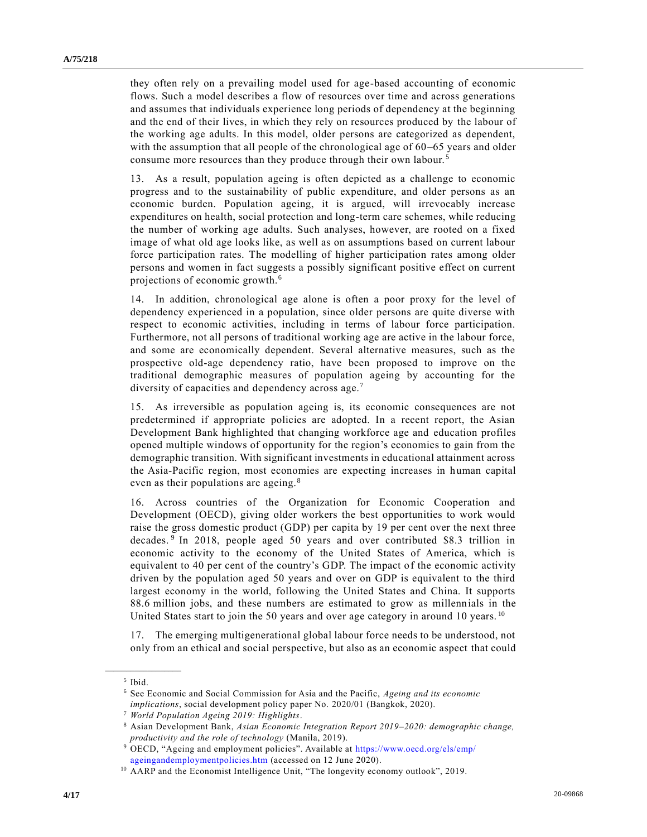they often rely on a prevailing model used for age-based accounting of economic flows. Such a model describes a flow of resources over time and across generations and assumes that individuals experience long periods of dependency at the beginning and the end of their lives, in which they rely on resources produced by the labour of the working age adults. In this model, older persons are categorized as dependent, with the assumption that all people of the chronological age of 60–65 years and older consume more resources than they produce through their own labour. <sup>5</sup>

13. As a result, population ageing is often depicted as a challenge to economic progress and to the sustainability of public expenditure, and older persons as an economic burden. Population ageing, it is argued, will irrevocably increase expenditures on health, social protection and long-term care schemes, while reducing the number of working age adults. Such analyses, however, are rooted on a fixed image of what old age looks like, as well as on assumptions based on current labour force participation rates. The modelling of higher participation rates among older persons and women in fact suggests a possibly significant positive effect on current projections of economic growth.<sup>6</sup>

14. In addition, chronological age alone is often a poor proxy for the level of dependency experienced in a population, since older persons are quite diverse with respect to economic activities, including in terms of labour force participation. Furthermore, not all persons of traditional working age are active in the labour force, and some are economically dependent. Several alternative measures, such as the prospective old-age dependency ratio, have been proposed to improve on the traditional demographic measures of population ageing by accounting for the diversity of capacities and dependency across age.<sup>7</sup>

15. As irreversible as population ageing is, its economic consequences are not predetermined if appropriate policies are adopted. In a recent report, the Asian Development Bank highlighted that changing workforce age and education profiles opened multiple windows of opportunity for the region's economies to gain from the demographic transition. With significant investments in educational attainment across the Asia-Pacific region, most economies are expecting increases in human capital even as their populations are ageing. <sup>8</sup>

16. Across countries of the Organization for Economic Cooperation and Development (OECD), giving older workers the best opportunities to work would raise the gross domestic product (GDP) per capita by 19 per cent over the next three decades. <sup>9</sup> In 2018, people aged 50 years and over contributed \$8.3 trillion in economic activity to the economy of the United States of America, which is equivalent to 40 per cent of the country's GDP. The impact of the economic activity driven by the population aged 50 years and over on GDP is equivalent to the third largest economy in the world, following the United States and China. It supports 88.6 million jobs, and these numbers are estimated to grow as millennials in the United States start to join the 50 years and over age category in around 10 years.<sup>10</sup>

17. The emerging multigenerational global labour force needs to be understood, not only from an ethical and social perspective, but also as an economic aspect that could

<sup>5</sup> Ibid.

<sup>6</sup> See Economic and Social Commission for Asia and the Pacific, *Ageing and its economic implications*, social development policy paper No. 2020/01 (Bangkok, 2020).

<sup>7</sup> *World Population Ageing 2019: Highlights*.

<sup>8</sup> Asian Development Bank, *Asian Economic Integration Report 2019–2020: demographic change, productivity and the role of technology* (Manila, 2019).

<sup>9</sup> OECD, "Ageing and employment policies". Available at [https://www.oecd.org/els/emp/](https://www.oecd.org/els/emp/ageingandemploymentpolicies.htm) [ageingandemploymentpolicies.htm](https://www.oecd.org/els/emp/ageingandemploymentpolicies.htm) (accessed on 12 June 2020).

<sup>&</sup>lt;sup>10</sup> AARP and the Economist Intelligence Unit, "The longevity economy outlook", 2019.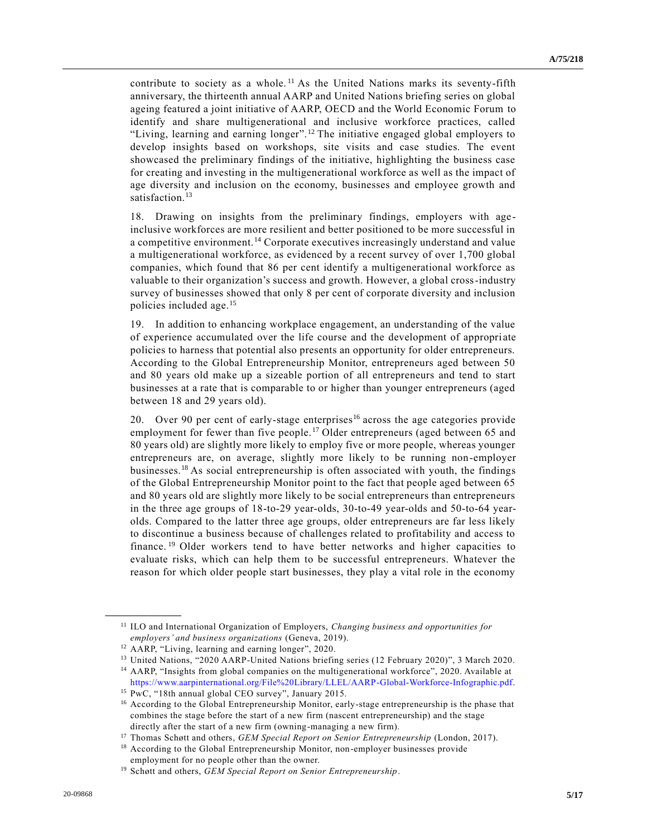contribute to society as a whole.<sup>11</sup> As the United Nations marks its seventy-fifth anniversary, the thirteenth annual AARP and United Nations briefing series on global ageing featured a joint initiative of AARP, OECD and the World Economic Forum to identify and share multigenerational and inclusive workforce practices, called "Living, learning and earning longer". <sup>12</sup> The initiative engaged global employers to develop insights based on workshops, site visits and case studies. The event showcased the preliminary findings of the initiative, highlighting the business case for creating and investing in the multigenerational workforce as well as the impact of age diversity and inclusion on the economy, businesses and employee growth and satisfaction.<sup>13</sup>

18. Drawing on insights from the preliminary findings, employers with ageinclusive workforces are more resilient and better positioned to be more successful in a competitive environment.<sup>14</sup> Corporate executives increasingly understand and value a multigenerational workforce, as evidenced by a recent survey of over 1,700 global companies, which found that 86 per cent identify a multigenerational workforce as valuable to their organization's success and growth. However, a global cross-industry survey of businesses showed that only 8 per cent of corporate diversity and inclusion policies included age.<sup>15</sup>

19. In addition to enhancing workplace engagement, an understanding of the value of experience accumulated over the life course and the development of appropri ate policies to harness that potential also presents an opportunity for older entrepreneurs. According to the Global Entrepreneurship Monitor, entrepreneurs aged between 50 and 80 years old make up a sizeable portion of all entrepreneurs and tend to start businesses at a rate that is comparable to or higher than younger entrepreneurs (aged between 18 and 29 years old).

20. Over 90 per cent of early-stage enterprises<sup>16</sup> across the age categories provide employment for fewer than five people.<sup>17</sup> Older entrepreneurs (aged between 65 and 80 years old) are slightly more likely to employ five or more people, whereas younger entrepreneurs are, on average, slightly more likely to be running non-employer businesses.<sup>18</sup> As social entrepreneurship is often associated with youth, the findings of the Global Entrepreneurship Monitor point to the fact that people aged between 65 and 80 years old are slightly more likely to be social entrepreneurs than entrepreneurs in the three age groups of 18-to-29 year-olds, 30-to-49 year-olds and 50-to-64 yearolds. Compared to the latter three age groups, older entrepreneurs are far less likely to discontinue a business because of challenges related to profitability and access to finance.<sup>19</sup> Older workers tend to have better networks and higher capacities to evaluate risks, which can help them to be successful entrepreneurs. Whatever the reason for which older people start businesses, they play a vital role in the economy

**\_\_\_\_\_\_\_\_\_\_\_\_\_\_\_\_\_\_**

[https://www.aarpinternational.org/File%20Library/LLEL/AARP-Global-Workforce-Infographic.pdf.](https://www.aarpinternational.org/File%20Library/LLEL/AARP-Global-Workforce-Infographic.pdf) <sup>15</sup> PwC, "18th annual global CEO survey", January 2015.

<sup>11</sup> ILO and International Organization of Employers, *Changing business and opportunities for employers' and business organizations* (Geneva, 2019).

<sup>12</sup> AARP, "Living, learning and earning longer", 2020.

<sup>13</sup> United Nations, "2020 AARP-United Nations briefing series (12 February 2020)", 3 March 2020. <sup>14</sup> AARP, "Insights from global companies on the multigenerational workforce", 2020. Available at

<sup>&</sup>lt;sup>16</sup> According to the Global Entrepreneurship Monitor, early-stage entrepreneurship is the phase that combines the stage before the start of a new firm (nascent entrepreneurship) and the stage directly after the start of a new firm (owning-managing a new firm).

<sup>17</sup> Thomas Schøtt and others, *GEM Special Report on Senior Entrepreneurship* (London, 2017).

<sup>&</sup>lt;sup>18</sup> According to the Global Entrepreneurship Monitor, non-employer businesses provide employment for no people other than the owner.

<sup>19</sup> Schøtt and others, *GEM Special Report on Senior Entrepreneurship*.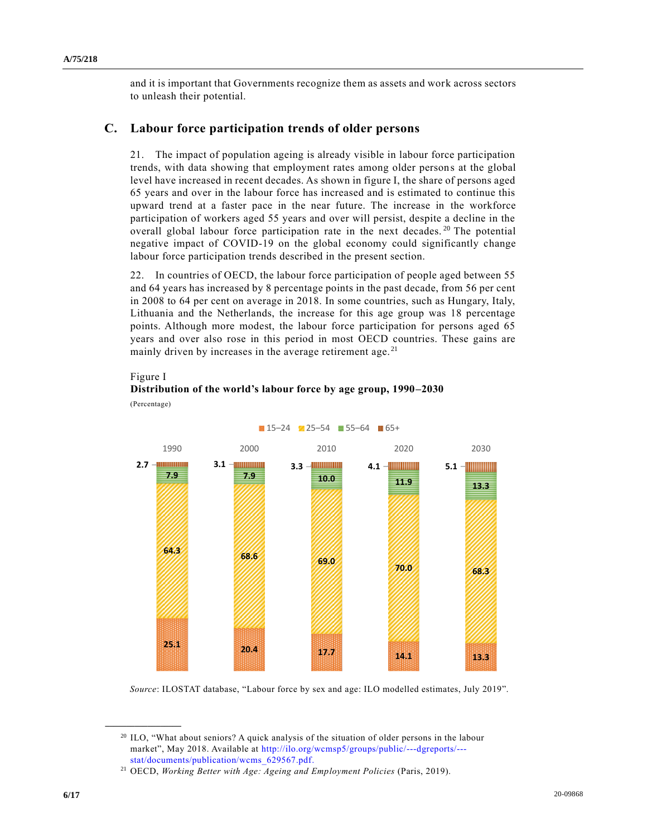and it is important that Governments recognize them as assets and work across sectors to unleash their potential.

#### **C. Labour force participation trends of older persons**

21. The impact of population ageing is already visible in labour force participation trends, with data showing that employment rates among older persons at the global level have increased in recent decades. As shown in figure I, the share of persons aged 65 years and over in the labour force has increased and is estimated to continue this upward trend at a faster pace in the near future. The increase in the workforce participation of workers aged 55 years and over will persist, despite a decline in the overall global labour force participation rate in the next decades.<sup>20</sup> The potential negative impact of COVID-19 on the global economy could significantly change labour force participation trends described in the present section.

22. In countries of OECD, the labour force participation of people aged between 55 and 64 years has increased by 8 percentage points in the past decade, from 56 per cent in 2008 to 64 per cent on average in 2018. In some countries, such as Hungary, Italy, Lithuania and the Netherlands, the increase for this age group was 18 percentage points. Although more modest, the labour force participation for persons aged 65 years and over also rose in this period in most OECD countries. These gains are mainly driven by increases in the average retirement age.<sup>21</sup>

#### Figure I

**\_\_\_\_\_\_\_\_\_\_\_\_\_\_\_\_\_\_**

#### **Distribution of the world's labour force by age group, 1990–2030** (Percentage)



 $\blacksquare$  15–24  $\blacksquare$  25–54  $\blacksquare$  55–64  $\blacksquare$  65+

*Source*: ILOSTAT database, "Labour force by sex and age: ILO modelled estimates, July 2019".

<sup>20</sup> ILO, "What about seniors? A quick analysis of the situation of older persons in the labour market", May 2018. Available at [http://ilo.org/wcmsp5/groups/public/---dgreports/--](http://ilo.org/wcmsp5/groups/public/---dgreports/---stat/documents/publication/wcms_629567.pdf) [stat/documents/publication/wcms\\_629567.pdf.](http://ilo.org/wcmsp5/groups/public/---dgreports/---stat/documents/publication/wcms_629567.pdf)

<sup>21</sup> OECD, *Working Better with Age: Ageing and Employment Policies* (Paris, 2019).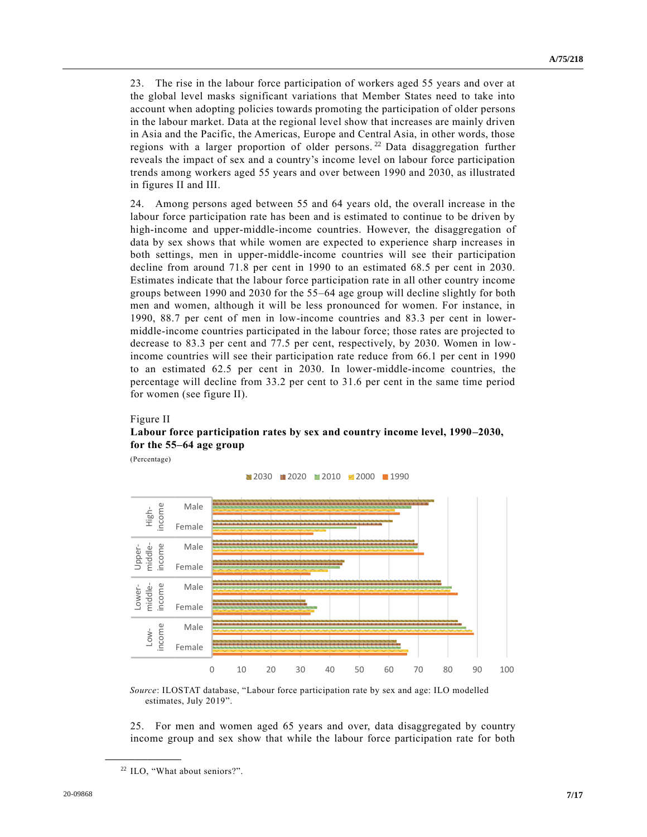23. The rise in the labour force participation of workers aged 55 years and over at the global level masks significant variations that Member States need to take into account when adopting policies towards promoting the participation of older persons in the labour market. Data at the regional level show that increases are mainly driven in Asia and the Pacific, the Americas, Europe and Central Asia, in other words, those regions with a larger proportion of older persons.<sup>22</sup> Data disaggregation further reveals the impact of sex and a country's income level on labour force participation trends among workers aged 55 years and over between 1990 and 2030, as illustrated in figures II and III.

24. Among persons aged between 55 and 64 years old, the overall increase in the labour force participation rate has been and is estimated to continue to be driven by high-income and upper-middle-income countries. However, the disaggregation of data by sex shows that while women are expected to experience sharp increases in both settings, men in upper-middle-income countries will see their participation decline from around 71.8 per cent in 1990 to an estimated 68.5 per cent in 2030. Estimates indicate that the labour force participation rate in all other country income groups between 1990 and 2030 for the 55–64 age group will decline slightly for both men and women, although it will be less pronounced for women. For instance, in 1990, 88.7 per cent of men in low-income countries and 83.3 per cent in lowermiddle-income countries participated in the labour force; those rates are projected to decrease to 83.3 per cent and 77.5 per cent, respectively, by 2030. Women in lowincome countries will see their participation rate reduce from 66.1 per cent in 1990 to an estimated 62.5 per cent in 2030. In lower-middle-income countries, the percentage will decline from 33.2 per cent to 31.6 per cent in the same time period for women (see figure II).

#### Figure II **Labour force participation rates by sex and country income level, 1990–2030, for the 55–64 age group**

(Percentage)



*Source*: ILOSTAT database, "Labour force participation rate by sex and age: ILO modelled estimates, July 2019".

25. For men and women aged 65 years and over, data disaggregated by country income group and sex show that while the labour force participation rate for both

<sup>22</sup> ILO, "What about seniors?".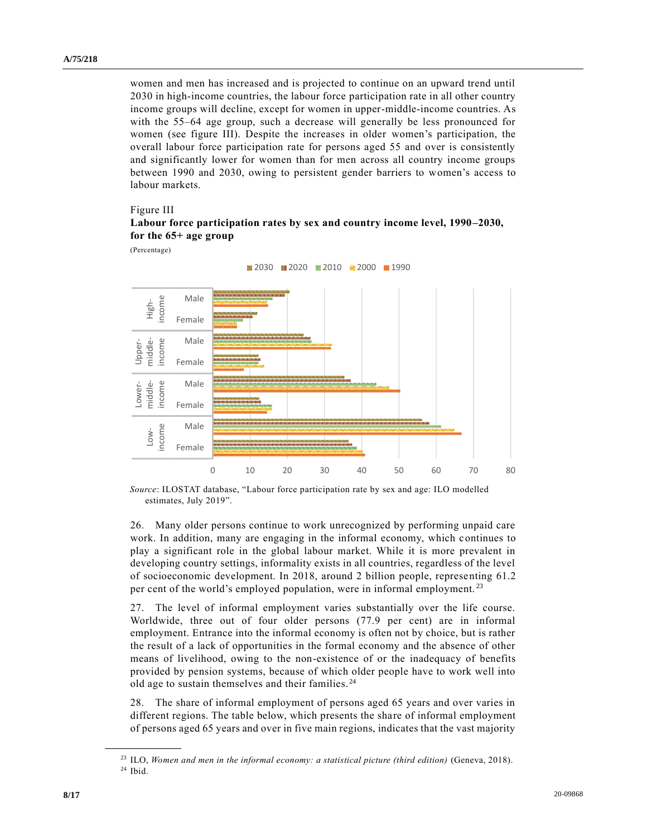women and men has increased and is projected to continue on an upward trend until 2030 in high-income countries, the labour force participation rate in all other country income groups will decline, except for women in upper-middle-income countries. As with the 55–64 age group, such a decrease will generally be less pronounced for women (see figure III). Despite the increases in older women's participation, the overall labour force participation rate for persons aged 55 and over is consistently and significantly lower for women than for men across all country income groups between 1990 and 2030, owing to persistent gender barriers to women's access to labour markets.

Figure III

#### **Labour force participation rates by sex and country income level, 1990–2030, for the 65+ age group**

(Percentage)



*Source*: ILOSTAT database, "Labour force participation rate by sex and age: ILO modelled estimates, July 2019".

26. Many older persons continue to work unrecognized by performing unpaid care work. In addition, many are engaging in the informal economy, which continues to play a significant role in the global labour market. While it is more prevalent in developing country settings, informality exists in all countries, regardless of the level of socioeconomic development. In 2018, around 2 billion people, representing 61.2 per cent of the world's employed population, were in informal employment.<sup>23</sup>

27. The level of informal employment varies substantially over the life course. Worldwide, three out of four older persons (77.9 per cent) are in informal employment. Entrance into the informal economy is often not by choice, but is rather the result of a lack of opportunities in the formal economy and the absence of other means of livelihood, owing to the non-existence of or the inadequacy of benefits provided by pension systems, because of which older people have to work well into old age to sustain themselves and their families. <sup>24</sup>

28. The share of informal employment of persons aged 65 years and over varies in different regions. The table below, which presents the share of informal employment of persons aged 65 years and over in five main regions, indicates that the vast majority

<sup>23</sup> ILO, *Women and men in the informal economy: a statistical picture (third edition)* (Geneva, 2018). <sup>24</sup> Ibid.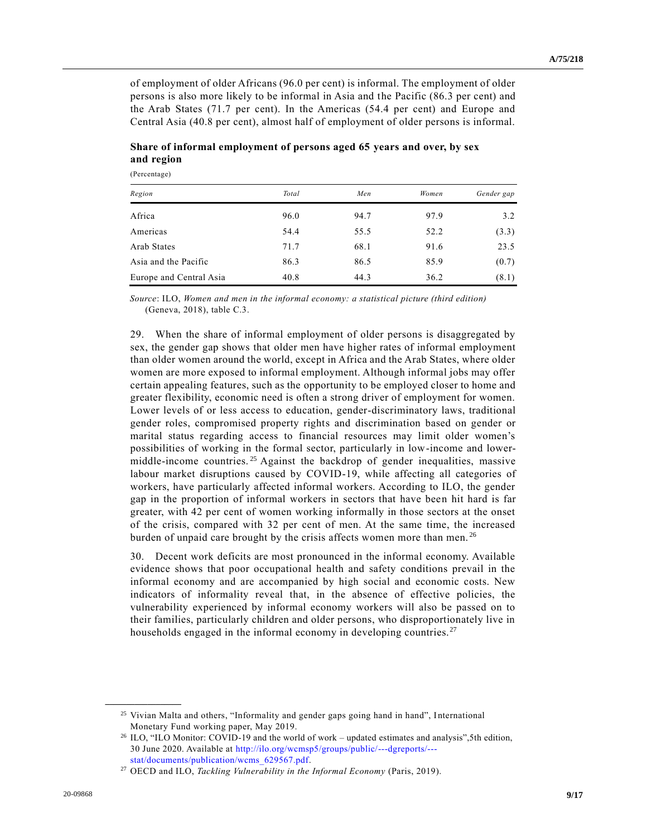of employment of older Africans (96.0 per cent) is informal. The employment of older persons is also more likely to be informal in Asia and the Pacific (86.3 per cent) and the Arab States (71.7 per cent). In the Americas (54.4 per cent) and Europe and Central Asia (40.8 per cent), almost half of employment of older persons is informal.

| Region                  | Total | Men  | Women | Gender gap |
|-------------------------|-------|------|-------|------------|
| Africa                  | 96.0  | 94.7 | 97.9  | 3.2        |
| Americas                | 54.4  | 55.5 | 52.2  | (3.3)      |
| Arab States             | 71.7  | 68.1 | 91.6  | 23.5       |
| Asia and the Pacific    | 86.3  | 86.5 | 85.9  | (0.7)      |
| Europe and Central Asia | 40.8  | 44.3 | 36.2  | (8.1)      |

### **Share of informal employment of persons aged 65 years and over, by sex and region**

(Percentage)

*Source*: ILO, *Women and men in the informal economy: a statistical picture (third edition)* (Geneva, 2018), table C.3.

29. When the share of informal employment of older persons is disaggregated by sex, the gender gap shows that older men have higher rates of informal employment than older women around the world, except in Africa and the Arab States, where older women are more exposed to informal employment. Although informal jobs may offer certain appealing features, such as the opportunity to be employed closer to home and greater flexibility, economic need is often a strong driver of employment for women. Lower levels of or less access to education, gender-discriminatory laws, traditional gender roles, compromised property rights and discrimination based on gender or marital status regarding access to financial resources may limit older women's possibilities of working in the formal sector, particularly in low-income and lowermiddle-income countries.<sup>25</sup> Against the backdrop of gender inequalities, massive labour market disruptions caused by COVID-19, while affecting all categories of workers, have particularly affected informal workers. According to ILO, the gender gap in the proportion of informal workers in sectors that have been hit hard is far greater, with 42 per cent of women working informally in those sectors at the onset of the crisis, compared with 32 per cent of men. At the same time, the increased burden of unpaid care brought by the crisis affects women more than men.<sup>26</sup>

30. Decent work deficits are most pronounced in the informal economy. Available evidence shows that poor occupational health and safety conditions prevail in the informal economy and are accompanied by high social and economic costs. New indicators of informality reveal that, in the absence of effective policies, the vulnerability experienced by informal economy workers will also be passed on to their families, particularly children and older persons, who disproportionately live in households engaged in the informal economy in developing countries.<sup>27</sup>

<sup>&</sup>lt;sup>25</sup> Vivian Malta and others, "Informality and gender gaps going hand in hand", International Monetary Fund working paper, May 2019.

<sup>&</sup>lt;sup>26</sup> ILO, "ILO Monitor: COVID-19 and the world of work – updated estimates and analysis",5th edition, 30 June 2020. Available at [http://ilo.org/wcmsp5/groups/public/---dgreports/--](http://ilo.org/wcmsp5/groups/public/---dgreports/---stat/documents/publication/wcms_629567.pdf) [stat/documents/publication/wcms\\_629567.pdf.](http://ilo.org/wcmsp5/groups/public/---dgreports/---stat/documents/publication/wcms_629567.pdf)

<sup>27</sup> OECD and ILO, *Tackling Vulnerability in the Informal Economy* (Paris, 2019).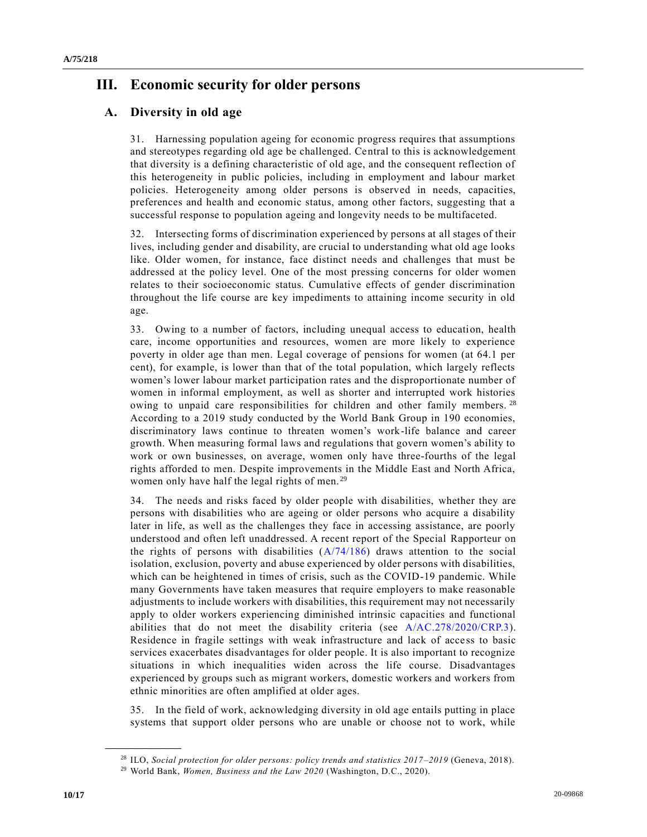# **III. Economic security for older persons**

### **A. Diversity in old age**

31. Harnessing population ageing for economic progress requires that assumptions and stereotypes regarding old age be challenged. Central to this is acknowledgement that diversity is a defining characteristic of old age, and the consequent reflection of this heterogeneity in public policies, including in employment and labour market policies. Heterogeneity among older persons is observed in needs, capacities, preferences and health and economic status, among other factors, suggesting that a successful response to population ageing and longevity needs to be multifaceted.

32. Intersecting forms of discrimination experienced by persons at all stages of their lives, including gender and disability, are crucial to understanding what old age looks like. Older women, for instance, face distinct needs and challenges that must be addressed at the policy level. One of the most pressing concerns for older women relates to their socioeconomic status. Cumulative effects of gender discrimination throughout the life course are key impediments to attaining income security in old age.

33. Owing to a number of factors, including unequal access to education, health care, income opportunities and resources, women are more likely to experience poverty in older age than men. Legal coverage of pensions for women (at 64.1 per cent), for example, is lower than that of the total population, which largely reflects women's lower labour market participation rates and the disproportionate number of women in informal employment, as well as shorter and interrupted work histories owing to unpaid care responsibilities for children and other family members.<sup>28</sup> According to a 2019 study conducted by the World Bank Group in 190 economies, discriminatory laws continue to threaten women's work-life balance and career growth. When measuring formal laws and regulations that govern women's ability to work or own businesses, on average, women only have three-fourths of the legal rights afforded to men. Despite improvements in the Middle East and North Africa, women only have half the legal rights of men.<sup>29</sup>

34. The needs and risks faced by older people with disabilities, whether they are persons with disabilities who are ageing or older persons who acquire a disability later in life, as well as the challenges they face in accessing assistance, are poorly understood and often left unaddressed. A recent report of the Special Rapporteur on the rights of persons with disabilities  $(A/74/186)$  draws attention to the social isolation, exclusion, poverty and abuse experienced by older persons with disabilities, which can be heightened in times of crisis, such as the COVID-19 pandemic. While many Governments have taken measures that require employers to make reasonable adjustments to include workers with disabilities, this requirement may not necessarily apply to older workers experiencing diminished intrinsic capacities and functional abilities that do not meet the disability criteria (see [A/AC.278/2020/CRP.3\)](https://undocs.org/en/A/AC.278/2020/CRP.3). Residence in fragile settings with weak infrastructure and lack of access to basic services exacerbates disadvantages for older people. It is also important to recognize situations in which inequalities widen across the life course. Disadvantages experienced by groups such as migrant workers, domestic workers and workers from ethnic minorities are often amplified at older ages.

35. In the field of work, acknowledging diversity in old age entails putting in place systems that support older persons who are unable or choose not to work, while

<sup>28</sup> ILO, *Social protection for older persons: policy trends and statistics 2017–2019* (Geneva, 2018).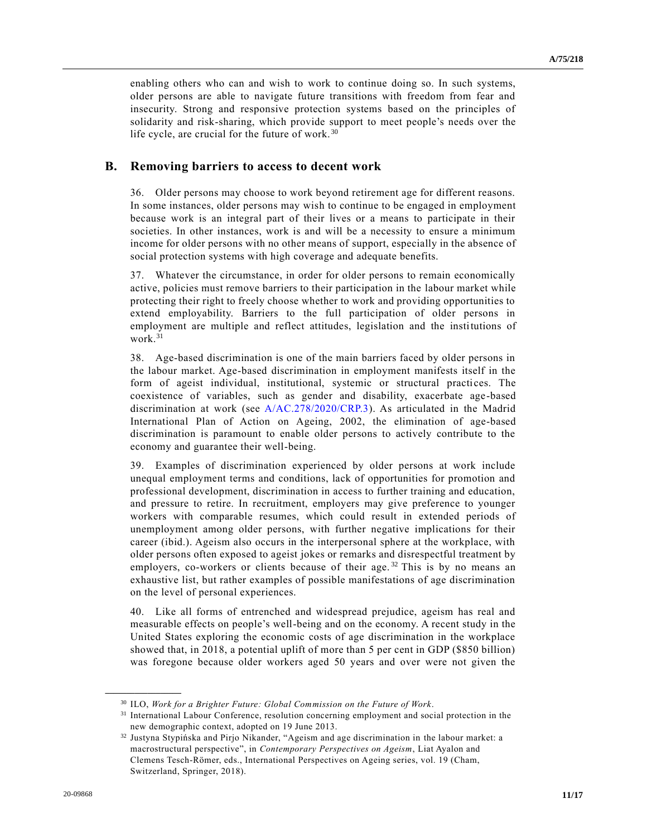enabling others who can and wish to work to continue doing so. In such systems, older persons are able to navigate future transitions with freedom from fear and insecurity. Strong and responsive protection systems based on the principles of solidarity and risk-sharing, which provide support to meet people's needs over the life cycle, are crucial for the future of work.<sup>30</sup>

#### **B. Removing barriers to access to decent work**

36. Older persons may choose to work beyond retirement age for different reasons. In some instances, older persons may wish to continue to be engaged in employment because work is an integral part of their lives or a means to participate in their societies. In other instances, work is and will be a necessity to ensure a minimum income for older persons with no other means of support, especially in the absence of social protection systems with high coverage and adequate benefits.

37. Whatever the circumstance, in order for older persons to remain economically active, policies must remove barriers to their participation in the labour market while protecting their right to freely choose whether to work and providing opportunities to extend employability. Barriers to the full participation of older persons in employment are multiple and reflect attitudes, legislation and the institutions of work.<sup>31</sup>

38. Age-based discrimination is one of the main barriers faced by older persons in the labour market. Age-based discrimination in employment manifests itself in the form of ageist individual, institutional, systemic or structural practices. The coexistence of variables, such as gender and disability, exacerbate age-based discrimination at work (see [A/AC.278/2020/CRP.3\)](https://undocs.org/en/A/AC.278/2020/CRP.3). As articulated in the Madrid International Plan of Action on Ageing, 2002, the elimination of age-based discrimination is paramount to enable older persons to actively contribute to the economy and guarantee their well-being.

39. Examples of discrimination experienced by older persons at work include unequal employment terms and conditions, lack of opportunities for promotion and professional development, discrimination in access to further training and education, and pressure to retire. In recruitment, employers may give preference to younger workers with comparable resumes, which could result in extended periods of unemployment among older persons, with further negative implications for their career (ibid.). Ageism also occurs in the interpersonal sphere at the workplace, with older persons often exposed to ageist jokes or remarks and disrespectful treatment by employers, co-workers or clients because of their age.<sup>32</sup> This is by no means an exhaustive list, but rather examples of possible manifestations of age discrimination on the level of personal experiences.

40. Like all forms of entrenched and widespread prejudice, ageism has real and measurable effects on people's well-being and on the economy. A recent study in the United States exploring the economic costs of age discrimination in the workplace showed that, in 2018, a potential uplift of more than 5 per cent in GDP (\$850 billion) was foregone because older workers aged 50 years and over were not given the

<sup>30</sup> ILO, *Work for a Brighter Future: Global Commission on the Future of Work*.

<sup>&</sup>lt;sup>31</sup> International Labour Conference, resolution concerning employment and social protection in the new demographic context, adopted on 19 June 2013.

<sup>32</sup> Justyna Stypińska and Pirjo Nikander, "Ageism and age discrimination in the labour market: a macrostructural perspective", in *Contemporary Perspectives on Ageism*, Liat Ayalon and Clemens Tesch-Römer, eds., International Perspectives on Ageing series, vol. 19 (Cham, Switzerland, Springer, 2018).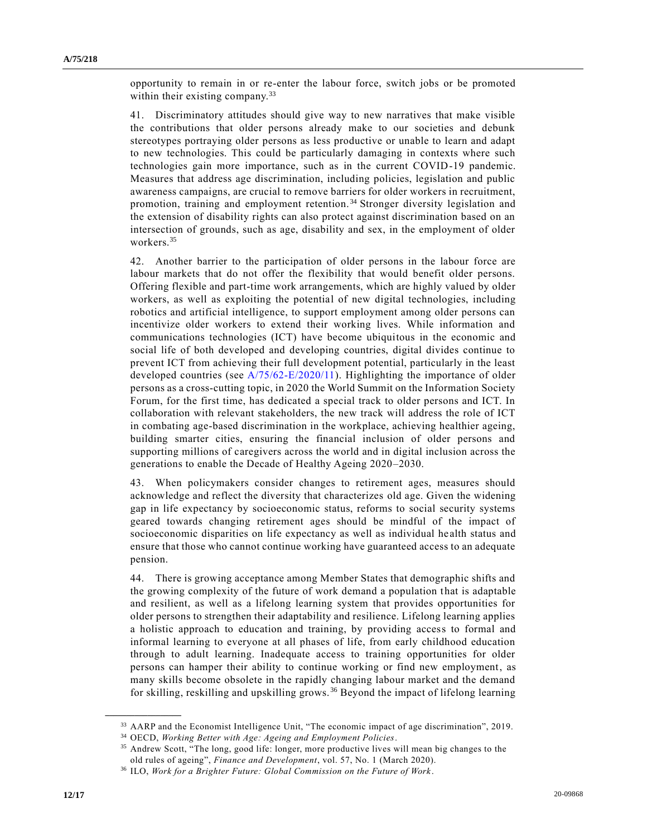opportunity to remain in or re-enter the labour force, switch jobs or be promoted within their existing company.<sup>33</sup>

41. Discriminatory attitudes should give way to new narratives that make visible the contributions that older persons already make to our societies and debunk stereotypes portraying older persons as less productive or unable to learn and adapt to new technologies. This could be particularly damaging in contexts where such technologies gain more importance, such as in the current COVID-19 pandemic. Measures that address age discrimination, including policies, legislation and public awareness campaigns, are crucial to remove barriers for older workers in recruitment, promotion, training and employment retention. <sup>34</sup> Stronger diversity legislation and the extension of disability rights can also protect against discrimination based on an intersection of grounds, such as age, disability and sex, in the employment of older workers.<sup>35</sup>

42. Another barrier to the participation of older persons in the labour force are labour markets that do not offer the flexibility that would benefit older persons. Offering flexible and part-time work arrangements, which are highly valued by older workers, as well as exploiting the potential of new digital technologies, including robotics and artificial intelligence, to support employment among older persons can incentivize older workers to extend their working lives. While information and communications technologies (ICT) have become ubiquitous in the economic and social life of both developed and developing countries, digital divides continue to prevent ICT from achieving their full development potential, particularly in the least developed countries (see [A/75/62-E/2020/11\)](https://undocs.org/en/A/75/62). Highlighting the importance of older persons as a cross-cutting topic, in 2020 the World Summit on the Information Society Forum, for the first time, has dedicated a special track to older persons and ICT. In collaboration with relevant stakeholders, the new track will address the role of ICT in combating age-based discrimination in the workplace, achieving healthier ageing, building smarter cities, ensuring the financial inclusion of older persons and supporting millions of caregivers across the world and in digital inclusion across the generations to enable the Decade of Healthy Ageing 2020–2030.

43. When policymakers consider changes to retirement ages, measures should acknowledge and reflect the diversity that characterizes old age. Given the widening gap in life expectancy by socioeconomic status, reforms to social security systems geared towards changing retirement ages should be mindful of the impact of socioeconomic disparities on life expectancy as well as individual he alth status and ensure that those who cannot continue working have guaranteed access to an adequate pension.

44. There is growing acceptance among Member States that demographic shifts and the growing complexity of the future of work demand a population that is adaptable and resilient, as well as a lifelong learning system that provides opportunities for older persons to strengthen their adaptability and resilience. Lifelong learning applies a holistic approach to education and training, by providing access to formal and informal learning to everyone at all phases of life, from early childhood education through to adult learning. Inadequate access to training opportunities for older persons can hamper their ability to continue working or find new employment, as many skills become obsolete in the rapidly changing labour market and the demand for skilling, reskilling and upskilling grows. <sup>36</sup> Beyond the impact of lifelong learning

<sup>33</sup> AARP and the Economist Intelligence Unit, "The economic impact of age discrimination", 2019.

<sup>34</sup> OECD, *Working Better with Age: Ageing and Employment Policies*.

<sup>35</sup> Andrew Scott, "The long, good life: longer, more productive lives will mean big changes to the old rules of ageing", *Finance and Development*, vol. 57, No. 1 (March 2020).

<sup>36</sup> ILO, *Work for a Brighter Future: Global Commission on the Future of Work*.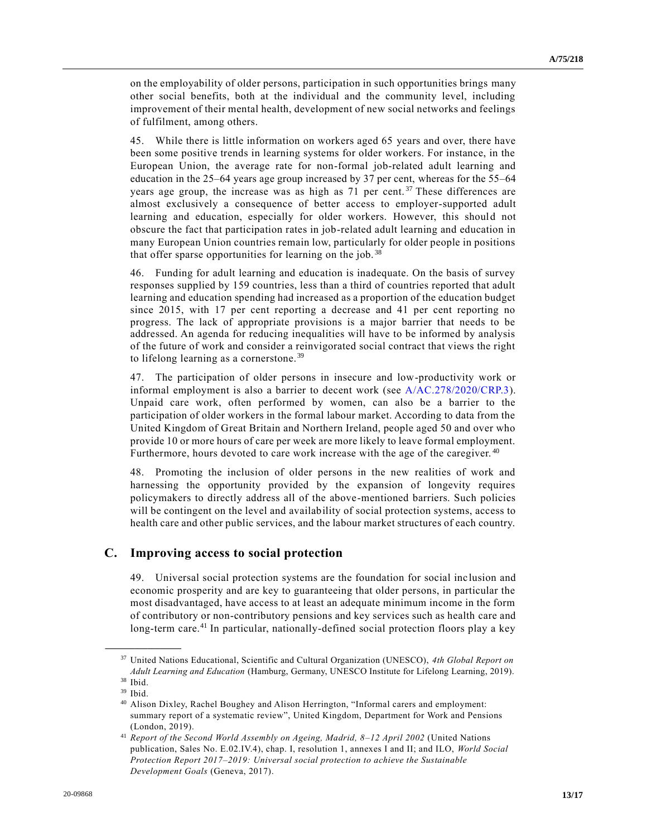on the employability of older persons, participation in such opportunities brings many other social benefits, both at the individual and the community level, including improvement of their mental health, development of new social networks and feelings of fulfilment, among others.

45. While there is little information on workers aged 65 years and over, there have been some positive trends in learning systems for older workers. For instance, in the European Union, the average rate for non-formal job-related adult learning and education in the 25–64 years age group increased by 37 per cent, whereas for the 55–64 years age group, the increase was as high as 71 per cent.<sup>37</sup> These differences are almost exclusively a consequence of better access to employer-supported adult learning and education, especially for older workers. However, this should not obscure the fact that participation rates in job-related adult learning and education in many European Union countries remain low, particularly for older people in positions that offer sparse opportunities for learning on the job.<sup>38</sup>

46. Funding for adult learning and education is inadequate. On the basis of survey responses supplied by 159 countries, less than a third of countries reported that adult learning and education spending had increased as a proportion of the education budget since 2015, with 17 per cent reporting a decrease and 41 per cent reporting no progress. The lack of appropriate provisions is a major barrier that needs to be addressed. An agenda for reducing inequalities will have to be informed by analysis of the future of work and consider a reinvigorated social contract that views the right to lifelong learning as a cornerstone. <sup>39</sup>

47. The participation of older persons in insecure and low-productivity work or informal employment is also a barrier to decent work (see [A/AC.278/2020/CRP.3\)](https://undocs.org/en/A/AC.278/2020/CRP.3). Unpaid care work, often performed by women, can also be a barrier to the participation of older workers in the formal labour market. According to data from the United Kingdom of Great Britain and Northern Ireland, people aged 50 and over who provide 10 or more hours of care per week are more likely to leave formal employment. Furthermore, hours devoted to care work increase with the age of the caregiver.<sup>40</sup>

48. Promoting the inclusion of older persons in the new realities of work and harnessing the opportunity provided by the expansion of longevity requires policymakers to directly address all of the above-mentioned barriers. Such policies will be contingent on the level and availability of social protection systems, access to health care and other public services, and the labour market structures of each country.

### **C. Improving access to social protection**

49. Universal social protection systems are the foundation for social inclusion and economic prosperity and are key to guaranteeing that older persons, in particular the most disadvantaged, have access to at least an adequate minimum income in the form of contributory or non-contributory pensions and key services such as health care and long-term care.<sup>41</sup> In particular, nationally-defined social protection floors play a key

<sup>37</sup> United Nations Educational, Scientific and Cultural Organization (UNESCO), *4th Global Report on Adult Learning and Education* (Hamburg, Germany, UNESCO Institute for Lifelong Learning, 2019).

<sup>38</sup> Ibid. <sup>39</sup> Ibid.

<sup>40</sup> Alison Dixley, Rachel Boughey and Alison Herrington, "Informal carers and employment: summary report of a systematic review", United Kingdom, Department for Work and Pensions (London, 2019).

<sup>41</sup> *Report of the Second World Assembly on Ageing, Madrid, 8–12 April 2002* (United Nations publication, Sales No. E.02.IV.4), chap. I, resolution 1, annexes I and II; and ILO, *World Social Protection Report 2017–2019: Universal social protection to achieve the Sustainable Development Goals* (Geneva, 2017).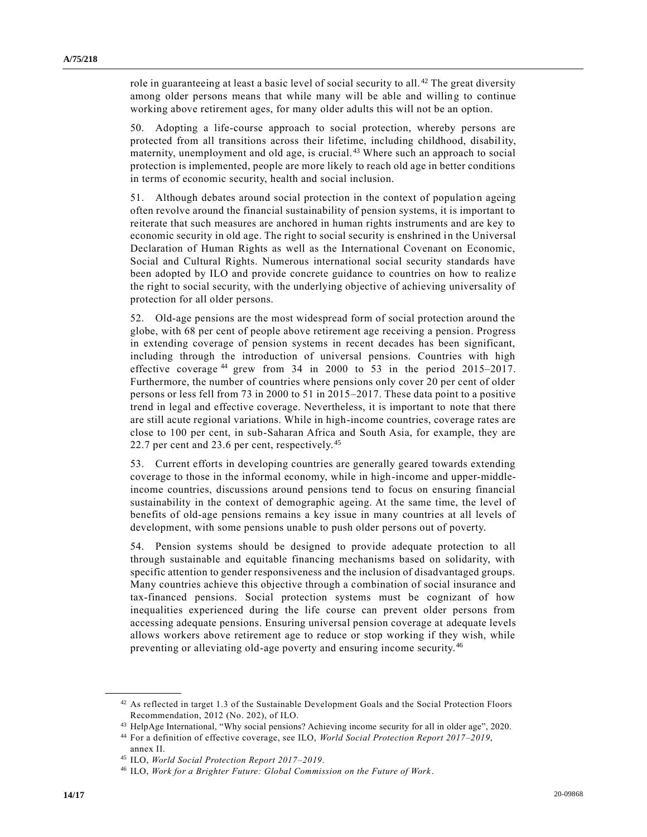role in guaranteeing at least a basic level of social security to all.<sup>42</sup> The great diversity among older persons means that while many will be able and willing to continue working above retirement ages, for many older adults this will not be an option.

50. Adopting a life-course approach to social protection, whereby persons are protected from all transitions across their lifetime, including childhood, disability, maternity, unemployment and old age, is crucial. <sup>43</sup> Where such an approach to social protection is implemented, people are more likely to reach old age in better conditions in terms of economic security, health and social inclusion.

51. Although debates around social protection in the context of population ageing often revolve around the financial sustainability of pension systems, it is important to reiterate that such measures are anchored in human rights instruments and are key to economic security in old age. The right to social security is enshrined in the Universal Declaration of Human Rights as well as the International Covenant on Economic, Social and Cultural Rights. Numerous international social security standards have been adopted by ILO and provide concrete guidance to countries on how to realiz e the right to social security, with the underlying objective of achieving universality of protection for all older persons.

52. Old-age pensions are the most widespread form of social protection around the globe, with 68 per cent of people above retirement age receiving a pension. Progress in extending coverage of pension systems in recent decades has been significant, including through the introduction of universal pensions. Countries with high effective coverage  $44$  grew from 34 in 2000 to 53 in the period 2015–2017. Furthermore, the number of countries where pensions only cover 20 per cent of older persons or less fell from 73 in 2000 to 51 in 2015–2017. These data point to a positive trend in legal and effective coverage. Nevertheless, it is important to note that there are still acute regional variations. While in high-income countries, coverage rates are close to 100 per cent, in sub-Saharan Africa and South Asia, for example, they are 22.7 per cent and 23.6 per cent, respectively.<sup>45</sup>

53. Current efforts in developing countries are generally geared towards extending coverage to those in the informal economy, while in high-income and upper-middleincome countries, discussions around pensions tend to focus on ensuring financial sustainability in the context of demographic ageing. At the same time, the level of benefits of old-age pensions remains a key issue in many countries at all levels of development, with some pensions unable to push older persons out of poverty.

54. Pension systems should be designed to provide adequate protection to all through sustainable and equitable financing mechanisms based on solidarity, with specific attention to gender responsiveness and the inclusion of disadvantaged groups. Many countries achieve this objective through a combination of social insurance and tax-financed pensions. Social protection systems must be cognizant of how inequalities experienced during the life course can prevent older persons from accessing adequate pensions. Ensuring universal pension coverage at adequate levels allows workers above retirement age to reduce or stop working if they wish, while preventing or alleviating old-age poverty and ensuring income security. <sup>46</sup>

<sup>&</sup>lt;sup>42</sup> As reflected in target 1.3 of the Sustainable Development Goals and the Social Protection Floors Recommendation, 2012 (No. 202), of ILO.

<sup>43</sup> HelpAge International, "Why social pensions? Achieving income security for all in older age", 2020.

<sup>44</sup> For a definition of effective coverage, see ILO, *World Social Protection Report 2017–2019*, annex II.

<sup>45</sup> ILO, *World Social Protection Report 2017–2019*.

<sup>46</sup> ILO, *Work for a Brighter Future: Global Commission on the Future of Work*.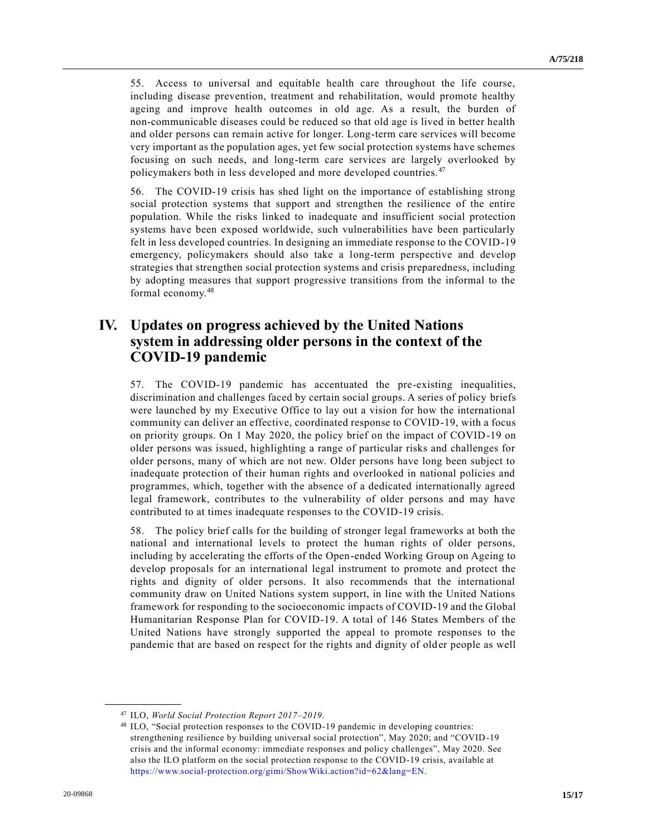55. Access to universal and equitable health care throughout the life course, including disease prevention, treatment and rehabilitation, would promote healthy ageing and improve health outcomes in old age. As a result, the burden of non-communicable diseases could be reduced so that old age is lived in better health and older persons can remain active for longer. Long-term care services will become very important as the population ages, yet few social protection systems have schemes focusing on such needs, and long-term care services are largely overlooked by policymakers both in less developed and more developed countries.<sup>47</sup>

56. The COVID-19 crisis has shed light on the importance of establishing strong social protection systems that support and strengthen the resilience of the entire population. While the risks linked to inadequate and insufficient social protection systems have been exposed worldwide, such vulnerabilities have been particularly felt in less developed countries. In designing an immediate response to the COVID-19 emergency, policymakers should also take a long-term perspective and develop strategies that strengthen social protection systems and crisis preparedness, including by adopting measures that support progressive transitions from the informal to the formal economy.<sup>48</sup>

# **IV. Updates on progress achieved by the United Nations system in addressing older persons in the context of the COVID-19 pandemic**

57. The COVID-19 pandemic has accentuated the pre-existing inequalities, discrimination and challenges faced by certain social groups. A series of policy briefs were launched by my Executive Office to lay out a vision for how the international community can deliver an effective, coordinated response to COVID-19, with a focus on priority groups. On 1 May 2020, the policy brief on the impact of COVID-19 on older persons was issued, highlighting a range of particular risks and challenges for older persons, many of which are not new. Older persons have long been subject to inadequate protection of their human rights and overlooked in national policies and programmes, which, together with the absence of a dedicated internationally agreed legal framework, contributes to the vulnerability of older persons and may have contributed to at times inadequate responses to the COVID-19 crisis.

58. The policy brief calls for the building of stronger legal frameworks at both the national and international levels to protect the human rights of older persons, including by accelerating the efforts of the Open-ended Working Group on Ageing to develop proposals for an international legal instrument to promote and protect the rights and dignity of older persons. It also recommends that the international community draw on United Nations system support, in line with the United Nations framework for responding to the socioeconomic impacts of COVID-19 and the Global Humanitarian Response Plan for COVID-19. A total of 146 States Members of the United Nations have strongly supported the appeal to promote responses to the pandemic that are based on respect for the rights and dignity of older people as well

<sup>47</sup> ILO, *World Social Protection Report 2017–2019*.

<sup>48</sup> ILO, "Social protection responses to the COVID-19 pandemic in developing countries: strengthening resilience by building universal social protection", May 2020; and "COVID-19 crisis and the informal economy: immediate responses and policy challenges", May 2020. See also the ILO platform on the social protection response to the COVID-19 crisis, available at [https://www.social-protection.org/gimi/ShowWiki.action?id=62&lang=EN.](https://www.social-protection.org/gimi/ShowWiki.action?id=62&lang=EN)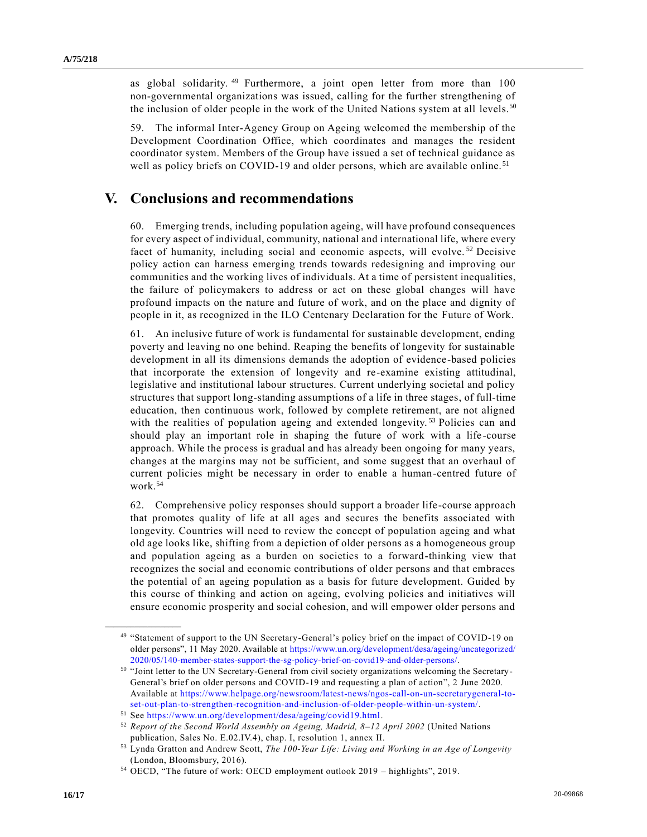as global solidarity.<sup>49</sup> Furthermore, a joint open letter from more than 100 non-governmental organizations was issued, calling for the further strengthening of the inclusion of older people in the work of the United Nations system at all levels.<sup>50</sup>

59. The informal Inter-Agency Group on Ageing welcomed the membership of the Development Coordination Office, which coordinates and manages the resident coordinator system. Members of the Group have issued a set of technical guidance as well as policy briefs on COVID-19 and older persons, which are available online.<sup>51</sup>

### **V. Conclusions and recommendations**

60. Emerging trends, including population ageing, will have profound consequences for every aspect of individual, community, national and international life, where every facet of humanity, including social and economic aspects, will evolve.<sup>52</sup> Decisive policy action can harness emerging trends towards redesigning and improving our communities and the working lives of individuals. At a time of persistent inequalities, the failure of policymakers to address or act on these global changes will have profound impacts on the nature and future of work, and on the place and dignity of people in it, as recognized in the ILO Centenary Declaration for the Future of Work.

61. An inclusive future of work is fundamental for sustainable development, ending poverty and leaving no one behind. Reaping the benefits of longevity for sustainable development in all its dimensions demands the adoption of evidence-based policies that incorporate the extension of longevity and re-examine existing attitudinal, legislative and institutional labour structures. Current underlying societal and policy structures that support long-standing assumptions of a life in three stages, of full-time education, then continuous work, followed by complete retirement, are not aligned with the realities of population ageing and extended longevity.<sup>53</sup> Policies can and should play an important role in shaping the future of work with a life -course approach. While the process is gradual and has already been ongoing for many years, changes at the margins may not be sufficient, and some suggest that an overhaul of current policies might be necessary in order to enable a human-centred future of work.<sup>54</sup>

62. Comprehensive policy responses should support a broader life-course approach that promotes quality of life at all ages and secures the benefits associated with longevity. Countries will need to review the concept of population ageing and what old age looks like, shifting from a depiction of older persons as a homogeneous group and population ageing as a burden on societies to a forward-thinking view that recognizes the social and economic contributions of older persons and that embraces the potential of an ageing population as a basis for future development. Guided by this course of thinking and action on ageing, evolving policies and initiatives will ensure economic prosperity and social cohesion, and will empower older persons and

<sup>49 &</sup>quot;Statement of support to the UN Secretary-General's policy brief on the impact of COVID-19 on older persons", 11 May 2020. Available at [https://www.un.org/development/desa/ageing/uncategorized/](https://www.un.org/development/desa/ageing/uncategorized/2020/05/140-member-states-support-the-sg-policy-brief-on-covid19-and-older-persons/) [2020/05/140-member-states-support-the-sg-policy-brief-on-covid19-and-older-persons/.](https://www.un.org/development/desa/ageing/uncategorized/2020/05/140-member-states-support-the-sg-policy-brief-on-covid19-and-older-persons/)

<sup>50</sup> "Joint letter to the UN Secretary-General from civil society organizations welcoming the Secretary-General's brief on older persons and COVID-19 and requesting a plan of action", 2 June 2020. Available at [https://www.helpage.org/newsroom/latest-news/ngos-call-on-un-secretarygeneral-to](https://www.helpage.org/newsroom/latest-news/ngos-call-on-un-secretarygeneral-to-set-out-plan-to-strengthen-recognition-and-inclusion-of-older-people-within-un-system/)[set-out-plan-to-strengthen-recognition-and-inclusion-of-older-people-within-un-system/.](https://www.helpage.org/newsroom/latest-news/ngos-call-on-un-secretarygeneral-to-set-out-plan-to-strengthen-recognition-and-inclusion-of-older-people-within-un-system/)

<sup>51</sup> See [https://www.un.org/development/desa/ageing/covid19.html.](https://www.un.org/development/desa/ageing/covid19.html)

<sup>52</sup> *Report of the Second World Assembly on Ageing, Madrid, 8–12 April 2002* (United Nations publication, Sales No. E.02.IV.4), chap. I, resolution 1, annex II.

<sup>53</sup> Lynda Gratton and Andrew Scott, *The 100-Year Life: Living and Working in an Age of Longevity* (London, Bloomsbury, 2016).

<sup>54</sup> OECD, "The future of work: OECD employment outlook 2019 – highlights", 2019.